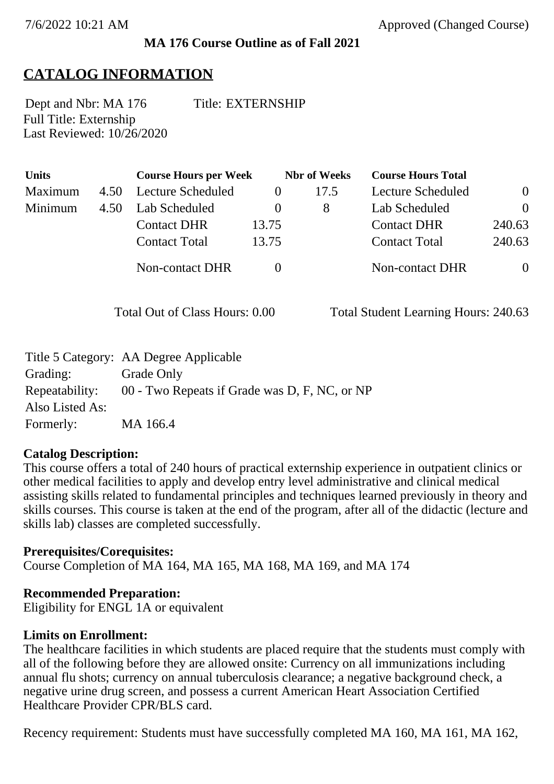#### **MA 176 Course Outline as of Fall 2021**

## **CATALOG INFORMATION**

Full Title: Externship Last Reviewed: 10/26/2020 Dept and Nbr: MA 176 Title: EXTERNSHIP

| <b>Units</b> |      | <b>Course Hours per Week</b> |          | <b>Nbr</b> of Weeks | <b>Course Hours Total</b> |                |
|--------------|------|------------------------------|----------|---------------------|---------------------------|----------------|
| Maximum      | 4.50 | Lecture Scheduled            |          | 17.5                | Lecture Scheduled         | $\overline{0}$ |
| Minimum      | 4.50 | Lab Scheduled                | $\theta$ | 8                   | Lab Scheduled             | $\theta$       |
|              |      | <b>Contact DHR</b>           | 13.75    |                     | <b>Contact DHR</b>        | 240.63         |
|              |      | <b>Contact Total</b>         | 13.75    |                     | <b>Contact Total</b>      | 240.63         |
|              |      | Non-contact DHR              |          |                     | Non-contact DHR           | $\overline{0}$ |

Total Out of Class Hours: 0.00 Total Student Learning Hours: 240.63

|                 | Title 5 Category: AA Degree Applicable        |
|-----------------|-----------------------------------------------|
| Grading:        | Grade Only                                    |
| Repeatability:  | 00 - Two Repeats if Grade was D, F, NC, or NP |
| Also Listed As: |                                               |
| Formerly:       | MA 166.4                                      |

#### **Catalog Description:**

This course offers a total of 240 hours of practical externship experience in outpatient clinics or other medical facilities to apply and develop entry level administrative and clinical medical assisting skills related to fundamental principles and techniques learned previously in theory and skills courses. This course is taken at the end of the program, after all of the didactic (lecture and skills lab) classes are completed successfully.

#### **Prerequisites/Corequisites:**

Course Completion of MA 164, MA 165, MA 168, MA 169, and MA 174

#### **Recommended Preparation:**

Eligibility for ENGL 1A or equivalent

#### **Limits on Enrollment:**

The healthcare facilities in which students are placed require that the students must comply with all of the following before they are allowed onsite: Currency on all immunizations including annual flu shots; currency on annual tuberculosis clearance; a negative background check, a negative urine drug screen, and possess a current American Heart Association Certified Healthcare Provider CPR/BLS card.

Recency requirement: Students must have successfully completed MA 160, MA 161, MA 162,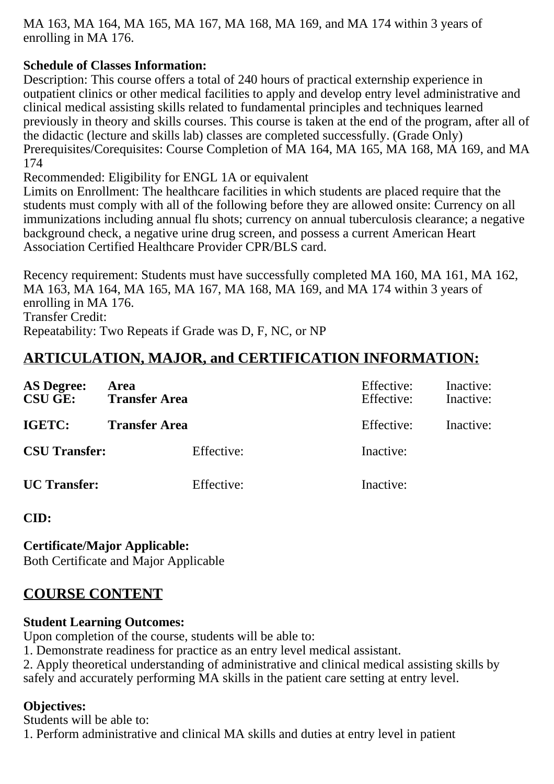MA 163, MA 164, MA 165, MA 167, MA 168, MA 169, and MA 174 within 3 years of enrolling in MA 176.

## **Schedule of Classes Information:**

Description: This course offers a total of 240 hours of practical externship experience in outpatient clinics or other medical facilities to apply and develop entry level administrative and clinical medical assisting skills related to fundamental principles and techniques learned previously in theory and skills courses. This course is taken at the end of the program, after all of the didactic (lecture and skills lab) classes are completed successfully. (Grade Only) Prerequisites/Corequisites: Course Completion of MA 164, MA 165, MA 168, MA 169, and MA 174

Recommended: Eligibility for ENGL 1A or equivalent

Limits on Enrollment: The healthcare facilities in which students are placed require that the students must comply with all of the following before they are allowed onsite: Currency on all immunizations including annual flu shots; currency on annual tuberculosis clearance; a negative background check, a negative urine drug screen, and possess a current American Heart Association Certified Healthcare Provider CPR/BLS card.

Recency requirement: Students must have successfully completed MA 160, MA 161, MA 162, MA 163, MA 164, MA 165, MA 167, MA 168, MA 169, and MA 174 within 3 years of enrolling in MA 176. Transfer Credit: Repeatability: Two Repeats if Grade was D, F, NC, or NP

# **ARTICULATION, MAJOR, and CERTIFICATION INFORMATION:**

| <b>AS Degree:</b><br><b>CSU GE:</b> | Area<br><b>Transfer Area</b> | Effective:<br>Effective: | Inactive:<br>Inactive: |
|-------------------------------------|------------------------------|--------------------------|------------------------|
| IGETC:                              | <b>Transfer Area</b>         | Effective:               | Inactive:              |
| <b>CSU Transfer:</b>                | Effective:                   | Inactive:                |                        |
| <b>UC</b> Transfer:                 | Effective:                   | Inactive:                |                        |

**CID:**

#### **Certificate/Major Applicable:**

[Both Certificate and Major Applicable](SR_ClassCheck.aspx?CourseKey=MA176)

# **COURSE CONTENT**

#### **Student Learning Outcomes:**

Upon completion of the course, students will be able to:

1. Demonstrate readiness for practice as an entry level medical assistant.

2. Apply theoretical understanding of administrative and clinical medical assisting skills by safely and accurately performing MA skills in the patient care setting at entry level.

#### **Objectives:**

Students will be able to: 1. Perform administrative and clinical MA skills and duties at entry level in patient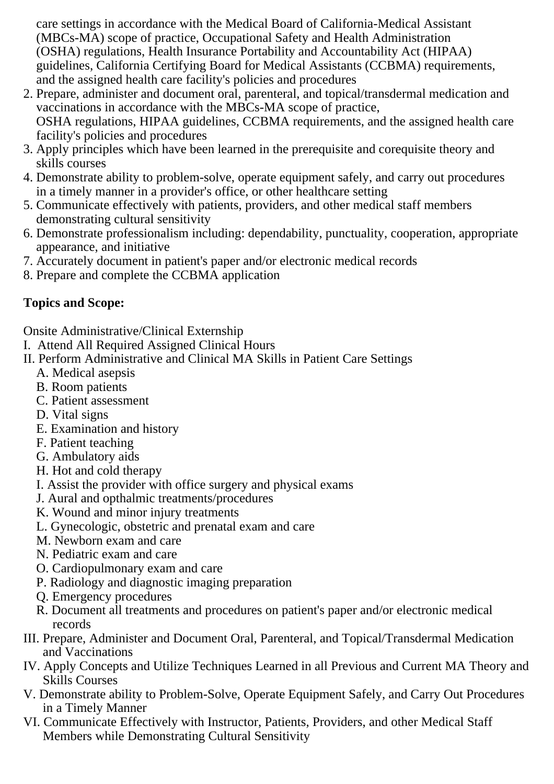care settings in accordance with the Medical Board of California-Medical Assistant (MBCs-MA) scope of practice, Occupational Safety and Health Administration (OSHA) regulations, Health Insurance Portability and Accountability Act (HIPAA) guidelines, California Certifying Board for Medical Assistants (CCBMA) requirements, and the assigned health care facility's policies and procedures

- 2. Prepare, administer and document oral, parenteral, and topical/transdermal medication and vaccinations in accordance with the MBCs-MA scope of practice, OSHA regulations, HIPAA guidelines, CCBMA requirements, and the assigned health care facility's policies and procedures
- 3. Apply principles which have been learned in the prerequisite and corequisite theory and skills courses
- 4. Demonstrate ability to problem-solve, operate equipment safely, and carry out procedures in a timely manner in a provider's office, or other healthcare setting
- 5. Communicate effectively with patients, providers, and other medical staff members demonstrating cultural sensitivity
- 6. Demonstrate professionalism including: dependability, punctuality, cooperation, appropriate appearance, and initiative
- 7. Accurately document in patient's paper and/or electronic medical records
- 8. Prepare and complete the CCBMA application

# **Topics and Scope:**

Onsite Administrative/Clinical Externship

- I. Attend All Required Assigned Clinical Hours
- II. Perform Administrative and Clinical MA Skills in Patient Care Settings
	- A. Medical asepsis
	- B. Room patients
	- C. Patient assessment
	- D. Vital signs
	- E. Examination and history
	- F. Patient teaching
	- G. Ambulatory aids
	- H. Hot and cold therapy
	- I. Assist the provider with office surgery and physical exams
	- J. Aural and opthalmic treatments/procedures
	- K. Wound and minor injury treatments
	- L. Gynecologic, obstetric and prenatal exam and care
	- M. Newborn exam and care
	- N. Pediatric exam and care
	- O. Cardiopulmonary exam and care
	- P. Radiology and diagnostic imaging preparation
	- Q. Emergency procedures
	- R. Document all treatments and procedures on patient's paper and/or electronic medical records
- III. Prepare, Administer and Document Oral, Parenteral, and Topical/Transdermal Medication and Vaccinations
- IV. Apply Concepts and Utilize Techniques Learned in all Previous and Current MA Theory and Skills Courses
- V. Demonstrate ability to Problem-Solve, Operate Equipment Safely, and Carry Out Procedures in a Timely Manner
- VI. Communicate Effectively with Instructor, Patients, Providers, and other Medical Staff Members while Demonstrating Cultural Sensitivity